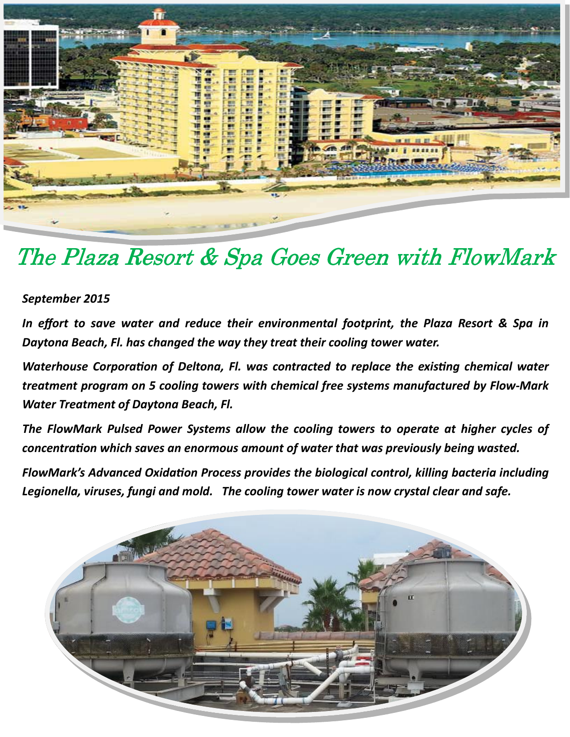

## The Plaza Resort & Spa Goes Green with FlowMark

## September 2015

In effort to save water and reduce their environmental footprint, the Plaza Resort & Spa in Daytona Beach, Fl. has changed the way they treat their cooling tower water.

Waterhouse Corporation of Deltona, Fl. was contracted to replace the existing chemical water treatment program on 5 cooling towers with chemical free systems manufactured by Flow-Mark Water Treatment of Daytona Beach, Fl.

The FlowMark Pulsed Power Systems allow the cooling towers to operate at higher cycles of concentration which saves an enormous amount of water that was previously being wasted.

FlowMark's Advanced Oxidation Process provides the biological control, killing bacteria including Legionella, viruses, fungi and mold. The cooling tower water is now crystal clear and safe.